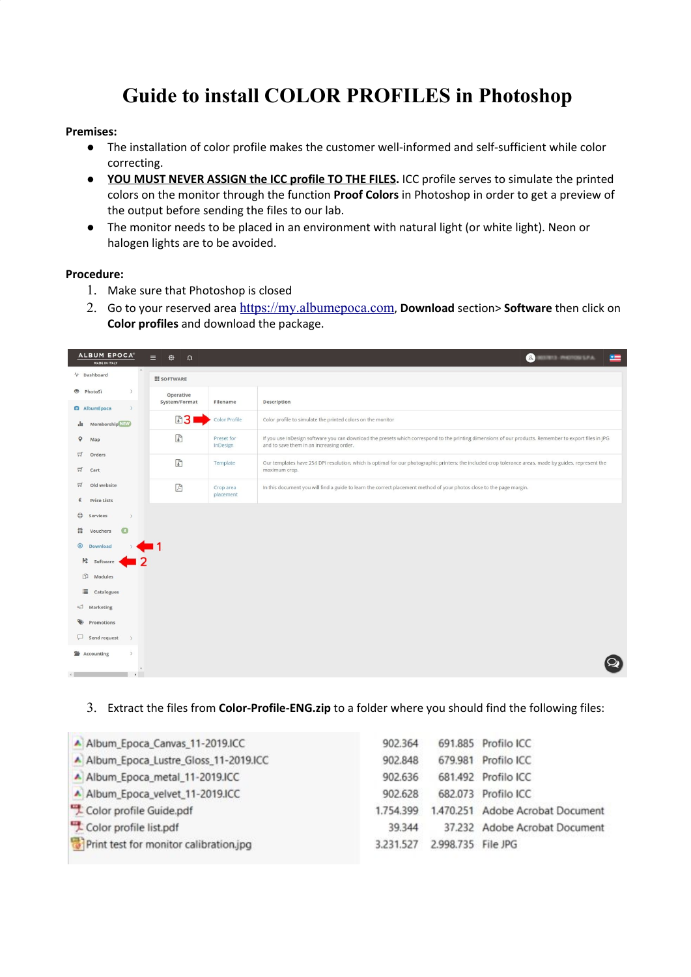# **Guide to install COLOR PROFILES in Photoshop**

### **Premises:**

- The installation of color profile makes the customer well-informed and self-sufficient while color correcting.
- **YOU MUST NEVER ASSIGN the ICC profile TO THE FILES.** ICC profile serves to simulate the printed colors on the monitor through the function **Proof Colors** in Photoshop in order to get a preview of the output before sending the files to our lab.
- The monitor needs to be placed in an environment with natural light (or white light). Neon or halogen lights are to be avoided.

### **Procedure:**

- 1. Make sure that Photoshop is closed
- 2. Go to your reserved area [https://my.albumepoca.com](https://my.albumepoca.com/), **Download** section> **Software** then click on **Color profiles** and download the package.

| ALBUM EPOCA®<br>MADE IN ITALY                                                                                                                                                                                                                              | 發<br>$\equiv$<br>$\Omega$                               |                        | $\bullet$ . The set of $\bullet$<br>$\leftarrow$                                                                                                                                                   |
|------------------------------------------------------------------------------------------------------------------------------------------------------------------------------------------------------------------------------------------------------------|---------------------------------------------------------|------------------------|----------------------------------------------------------------------------------------------------------------------------------------------------------------------------------------------------|
| $V$ Dashboard                                                                                                                                                                                                                                              | <b>III SOFTWARE</b>                                     |                        |                                                                                                                                                                                                    |
| $\rightarrow$<br>hotoSi<br>$\,$<br><b>Q</b> AlbumEpoca                                                                                                                                                                                                     | Operative<br>System/Format                              | Filename               | Description                                                                                                                                                                                        |
| Membership NBW<br>alt.                                                                                                                                                                                                                                     | 圖31                                                     | Color Profile          | Color profile to simulate the printed colors on the monitor                                                                                                                                        |
| $\circ$<br>Map                                                                                                                                                                                                                                             | $\delta$                                                | Preset for<br>InDesign | If you use InDesign software you can download the presets which correspond to the printing dimensions of our products. Remember to export files in JPG<br>and to save them in an increasing order. |
| 耳<br>Orders<br>耳<br>Cart                                                                                                                                                                                                                                   | $\begin{array}{c} \mathbf{a} \\ \mathbf{b} \end{array}$ | Template               | Our templates have 254 DPI resolution, which is optimal for our photographic printers; the included crop tolerance areas, made by guides, represent the<br>maximum crop.                           |
| $\Box$<br>Old website<br>€<br><b>Price Lists</b>                                                                                                                                                                                                           | $\mathbb{R}$                                            | Crop area<br>placement | In this document you will find a guide to learn the correct placement method of your photos close to the page margin.                                                                              |
| $^\circledR$<br>Services<br>$\rightarrow$<br>普<br>$\bullet$<br>Vouchers<br>$\odot$<br>Download<br>■ Software<br>D)<br>Modules<br>這<br>Catalogues<br>Marketing<br>$\Box$<br>Promotions<br>ρ<br>Send request<br>$\rightarrow$<br>Accounting<br>$\rightarrow$ |                                                         |                        |                                                                                                                                                                                                    |
| $\rightarrow$                                                                                                                                                                                                                                              |                                                         |                        |                                                                                                                                                                                                    |

### 3. Extract the files from **Color-Profile-ENG.zip** to a folder where you should find the following files:

| A Album_Epoca_Canvas_11-2019.ICC       | 902.364   |                    | 691.885 Profilo ICC              |
|----------------------------------------|-----------|--------------------|----------------------------------|
| A Album_Epoca_Lustre_Gloss_11-2019.ICC | 902.848   |                    | 679.981 Profilo ICC              |
| A Album_Epoca_metal_11-2019.ICC        | 902.636   |                    | 681.492 Profilo ICC              |
| Album_Epoca_velvet_11-2019.ICC         | 902.628   |                    | 682.073 Profilo ICC              |
| Color profile Guide.pdf                | 1.754.399 |                    | 1,470,251 Adobe Acrobat Document |
| Color profile list.pdf                 | 39.344    |                    | 37.232 Adobe Acrobat Document    |
| Print test for monitor calibration.jpg | 3.231.527 | 2.998.735 File JPG |                                  |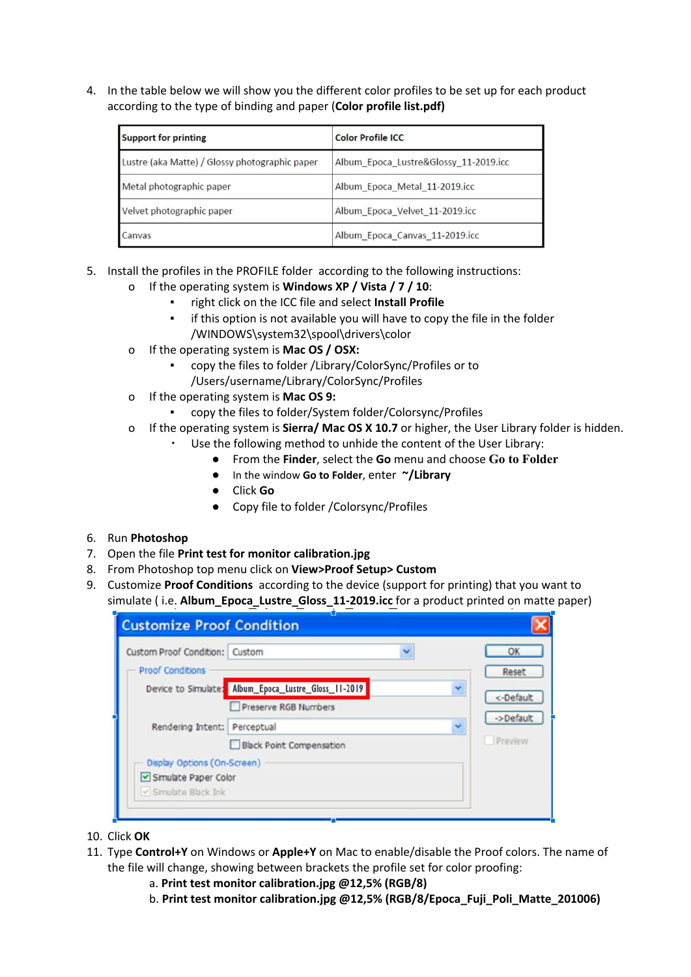4. In the table below we will show you the different color profiles to be set up for each product according to the type of binding and paper (**Color profile list.pdf)**

| <b>Support for printing</b>                    | <b>Color Profile ICC</b>              |
|------------------------------------------------|---------------------------------------|
| Lustre (aka Matte) / Glossy photographic paper | Album Epoca Lustre&Glossy 11-2019.icc |
| Metal photographic paper                       | Album Epoca Metal 11-2019.icc         |
| Velvet photographic paper                      | Album Epoca Velvet 11-2019.icc        |
| Canvas                                         | Album Epoca Canvas 11-2019.icc        |

- 5. Install the profiles in the PROFILE folder according to the following instructions:
	- o If the operating system is **Windows XP / Vista / 7 / 10**:
		- right click on the ICC file and select Install Profile
		- if this option is not available you will have to copy the file in the folder /WINDOWS\system32\spool\drivers\color
	- o If the operating system is **Mac OS / OSX:**
		- copy the files to folder /Library/ColorSync/Profiles or to /Users/username/Library/ColorSync/Profiles
	- o If the operating system is **Mac OS 9:**
		- copy the files to folder/System folder/Colorsync/Profiles
	- o If the operating system is **Sierra/ Mac OS X 10.7** or higher, the User Library folder is hidden.
		- Use the following method to unhide the content of the User Library:
			- From the **Finder**, select the **Go** menu and choose **Go to Folder**
			- In the window **Go to Folder**, enter **~/Library**
			- Click **Go**
			- Copy file to folder /Colorsync/Profiles

### 6. Run **Photoshop**

- 7. Open the file **Print test for monitor calibration.jpg**
- 8. From Photoshop top menu click on **View>Proof Setup> Custom**
- 9. Customize **Proof Conditions** according to the device (support for printing) that you want to simulate ( i.e. **Album\_Epoca\_Lustre\_Gloss\_11-2019.icc** for a product printed on matte paper)

| <b>Custom Proof Condition:</b> Custom |                                                      |   | OK        |
|---------------------------------------|------------------------------------------------------|---|-----------|
| <b>Proof Conditions</b>               |                                                      |   | Reset     |
|                                       | Device to Simulate: Album_Epoca_Lustre_Gloss_11-2019 | v | <-Default |
|                                       | Preserve RGB Numbers                                 |   |           |
| Rendering Intent: Perceptual          |                                                      | Y | ->Default |
|                                       | <b>Black Point Compensation</b>                      |   | Preview   |
| Display Options (On-Screen)           |                                                      |   |           |
| Simulate Paper Color                  |                                                      |   |           |
| V Simulate Black Ink                  |                                                      |   |           |

- 10. Click **OK**
- 11. Type **Control+Y** on Windows or **Apple+Y** on Mac to enable/disable the Proof colors. The name of the file will change, showing between brackets the profile set for color proofing:
	- a. **Print test monitor calibration.jpg @12,5% (RGB/8)**
	- b. **Print test monitor calibration.jpg @12,5% (RGB/8/Epoca\_Fuji\_Poli\_Matte\_201006)**